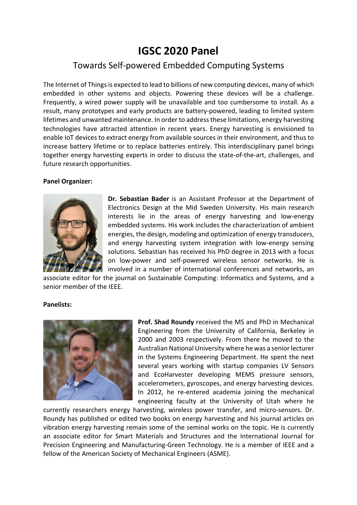## **IGSC 2020 Panel**

## Towards Self-powered Embedded Computing Systems

The Internet of Things is expected to lead to billions of new computing devices, many of which embedded in other systems and objects. Powering these devices will be a challenge. Frequently, a wired power supply will be unavailable and too cumbersome to install. As a result, many prototypes and early products are battery-powered, leading to limited system lifetimes and unwanted maintenance. In order to address these limitations, energy harvesting technologies have attracted attention in recent years. Energy harvesting is envisioned to enable IoT devices to extract energy from available sources in their environment, and thus to increase battery lifetime or to replace batteries entirely. This interdisciplinary panel brings together energy harvesting experts in order to discuss the state-of-the-art, challenges, and future research opportunities.

## **Panel Organizer:**



**Dr. Sebastian Bader** is an Assistant Professor at the Department of Electronics Design at the Mid Sweden University. His main research interests lie in the areas of energy harvesting and low-energy embedded systems. His work includes the characterization of ambient energies, the design, modeling and optimization of energy transducers, and energy harvesting system integration with low-energy sensing solutions. Sebastian has received his PhD degree in 2013 with a focus on low-power and self-powered wireless sensor networks. He is involved in a number of international conferences and networks, an

associate editor for the journal on Sustainable Computing: Informatics and Systems, and a senior member of the IEEE.

## **Panelists:**



**Prof. Shad Roundy** received the MS and PhD in Mechanical Engineering from the University of California, Berkeley in 2000 and 2003 respectively. From there he moved to the Australian National University where he was a senior lecturer in the Systems Engineering Department. He spent the next several years working with startup companies LV Sensors and EcoHarvester developing MEMS pressure sensors, accelerometers, gyroscopes, and energy harvesting devices. In 2012, he re-entered academia joining the mechanical engineering faculty at the University of Utah where he

currently researchers energy harvesting, wireless power transfer, and micro-sensors. Dr. Roundy has published or edited two books on energy harvesting and his journal articles on vibration energy harvesting remain some of the seminal works on the topic. He is currently an associate editor for Smart Materials and Structures and the International Journal for Precision Engineering and Manufacturing-Green Technology. He is a member of IEEE and a fellow of the American Society of Mechanical Engineers (ASME).